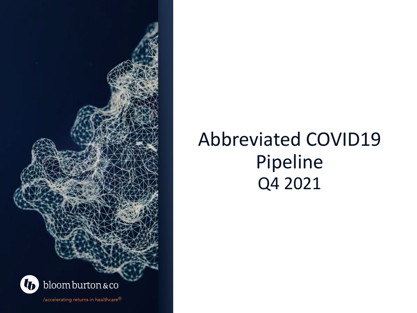

## Abbreviated COVID19 Pipeline Q4 2021

/accelerating returns in healthcare®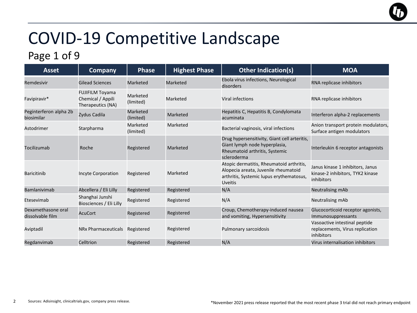#### Page 1 of 9

| <b>Asset</b>                           | <b>Company</b>                                                   | <b>Phase</b>          | <b>Highest Phase</b> | <b>Other Indication(s)</b>                                                                                                                     | <b>MOA</b>                                                                         |
|----------------------------------------|------------------------------------------------------------------|-----------------------|----------------------|------------------------------------------------------------------------------------------------------------------------------------------------|------------------------------------------------------------------------------------|
| Remdesivir                             | <b>Gilead Sciences</b>                                           | <b>Marketed</b>       | <b>Marketed</b>      | Ebola virus infections, Neurological<br>disorders                                                                                              | RNA replicase inhibitors                                                           |
| Favipiravir*                           | <b>FUJIFILM Toyama</b><br>Chemical / Appili<br>Therapeutics (NA) | Marketed<br>(limited) | Marketed             | Viral infections                                                                                                                               | RNA replicase inhibitors                                                           |
| Peginterferon alpha 2b<br>biosimilar   | Zydus Cadila                                                     | Marketed<br>(limited) | Marketed             | Hepatitis C, Hepatitis B, Condylomata<br>acuminata                                                                                             | Interferon alpha-2 replacements                                                    |
| Astodrimer                             | Starpharma                                                       | Marketed<br>(limited) | Marketed             | Bacterial vaginosis, viral infections                                                                                                          | Anion transport protein modulators,<br>Surface antigen modulators                  |
| Tocilizumab                            | Roche                                                            | Registered            | Marketed             | Drug hypersensitivity, Giant cell arteritis,<br>Giant lymph node hyperplasia,<br>Rheumatoid arthritis, Systemic<br>scleroderma                 | Interleukin 6 receptor antagonists                                                 |
| <b>Baricitinib</b>                     | <b>Incyte Corporation</b>                                        | Registered            | Marketed             | Atopic dermatitis, Rheumatoid arthritis,<br>Alopecia areata, Juvenile rheumatoid<br>arthritis, Systemic lupus erythematosus,<br><b>Uveitis</b> | Janus kinase 1 inhibitors, Janus<br>kinase-2 inhibitors, TYK2 kinase<br>inhibitors |
| <b>Bamlanivimab</b>                    | Abcellera / Eli Lilly                                            | Registered            | Registered           | N/A                                                                                                                                            | Neutralising mAb                                                                   |
| Etesevimab                             | Shanghai Junshi<br>Biosciences / Eli Lilly                       | Registered            | Registered           | N/A                                                                                                                                            | Neutralising mAb                                                                   |
| Dexamethasone oral<br>dissolvable film | <b>AcuCort</b>                                                   | Registered            | Registered           | Croup, Chemotherapy-induced nausea<br>and vomiting, Hypersensitivity                                                                           | Glucocorticoid receptor agonists,<br>Immunosuppressants                            |
| Aviptadil                              | NRx Pharmaceuticals                                              | Registered            | Registered           | Pulmonary sarcoidosis                                                                                                                          | Vasoactive intestinal peptide<br>replacements, Virus replication<br>inhibitors     |
| Regdanvimab                            | Celltrion                                                        | Registered            | Registered           | N/A                                                                                                                                            | Virus internalisation inhibitors                                                   |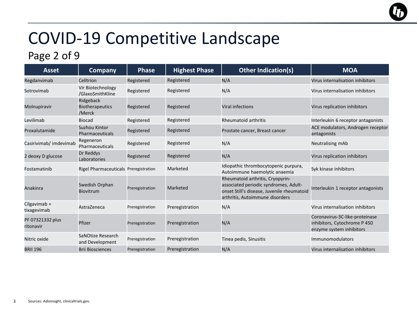#### Page 2 of 9

| <b>Asset</b>                  | <b>Company</b>                                | <b>Phase</b>    | <b>Highest Phase</b> | <b>Other Indication(s)</b>                                                                                                                                 | <b>MOA</b>                                                                                 |
|-------------------------------|-----------------------------------------------|-----------------|----------------------|------------------------------------------------------------------------------------------------------------------------------------------------------------|--------------------------------------------------------------------------------------------|
| Regdanvimab                   | Celltrion                                     | Registered      | Registered           | N/A                                                                                                                                                        | Virus internalisation inhibitors                                                           |
| Sotrovimab                    | Vir Biotechnology<br>/GlaxoSmithKline         | Registered      | Registered           | N/A                                                                                                                                                        | Virus internalisation inhibitors                                                           |
| Molnupiravir                  | Ridgeback<br><b>Biotherapeutics</b><br>/Merck | Registered      | Registered           | <b>Viral infections</b>                                                                                                                                    | Virus replication inhibitors                                                               |
| Levilimab                     | <b>Biocad</b>                                 | Registered      | Registered           | <b>Rheumatoid arthritis</b>                                                                                                                                | Interleukin 6 receptor antagonists                                                         |
| Proxalutamide                 | Suzhou Kintor<br><b>Pharmaceuticals</b>       | Registered      | Registered           | Prostate cancer, Breast cancer                                                                                                                             | ACE modulators, Androgen receptor<br>antagonists                                           |
| Casirivimab/ imdevimab        | Regeneron<br><b>Pharmaceuticals</b>           | Registered      | Registered           | N/A                                                                                                                                                        | Neutralising mAb                                                                           |
| 2 deoxy D glucose             | Dr Reddys<br>Laboratories                     | Registered      | Registered           | N/A                                                                                                                                                        | Virus replication inhibitors                                                               |
| Fostamatinib                  | Rigel Pharmaceuticals Preregistration         |                 | Marketed             | Idiopathic thrombocytopenic purpura,<br>Autoimmune haemolytic anaemia                                                                                      | Syk kinase inhibitors                                                                      |
| Anakinra                      | Swedish Orphan<br><b>Biovitrum</b>            | Preregistration | Marketed             | Rheumatoid arthritis, Cryopyrin-<br>associated periodic syndromes, Adult-<br>onset Still's disease, Juvenile rheumatoid<br>arthritis, Autoimmune disorders | Interleukin 1 receptor antagonists                                                         |
| Cilgavimab +<br>tixagevimab   | AstraZeneca                                   | Preregistration | Preregistration      | N/A                                                                                                                                                        | Virus internalisation inhibitors                                                           |
| PF 07321332 plus<br>ritonavir | Pfizer                                        | Preregistration | Preregistration      | N/A                                                                                                                                                        | Coronavirus-3C-like-proteinase<br>inhibitors, Cytochrome P 450<br>enzyme system inhibitors |
| Nitric oxide                  | SaNOtize Research<br>and Development          | Preregistration | Preregistration      | Tinea pedis, Sinusitis                                                                                                                                     | Immunomodulators                                                                           |
| <b>BRII 196</b>               | <b>Brii Biosciences</b>                       | Preregistration | Preregistration      | N/A                                                                                                                                                        | Virus internalisation inhibitors                                                           |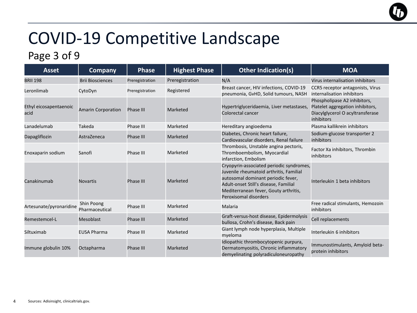#### Page 3 of 9

| <b>Asset</b>                   | <b>Company</b>               | <b>Phase</b>     | <b>Highest Phase</b> | <b>Other Indication(s)</b>                                                                                                                                                                                                           | <b>MOA</b>                                                                                                         |
|--------------------------------|------------------------------|------------------|----------------------|--------------------------------------------------------------------------------------------------------------------------------------------------------------------------------------------------------------------------------------|--------------------------------------------------------------------------------------------------------------------|
| <b>BRII 198</b>                | <b>Brii Biosciences</b>      | Preregistration  | Preregistration      | N/A                                                                                                                                                                                                                                  | Virus internalisation inhibitors                                                                                   |
| Leronlimab                     | CytoDyn                      | Preregistration  | Registered           | Breast cancer, HIV infections, COVID-19<br>pneumonia, GvHD, Solid tumours, NASH                                                                                                                                                      | CCR5 receptor antagonists, Virus<br>internalisation inhibitors                                                     |
| Ethyl eicosapentaenoic<br>acid | <b>Amarin Corporation</b>    | Phase III        | Marketed             | Hypertriglyceridaemia, Liver metastases,<br>Colorectal cancer                                                                                                                                                                        | Phospholipase A2 inhibitors,<br>Platelet aggregation inhibitors,<br>Diacylglycerol O acyltransferase<br>inhibitors |
| Lanadelumab                    | Takeda                       | Phase III        | Marketed             | Hereditary angioedema                                                                                                                                                                                                                | Plasma kallikrein inhibitors                                                                                       |
| Dapagliflozin                  | AstraZeneca                  | <b>Phase III</b> | Marketed             | Diabetes, Chronic heart failure,<br>Cardiovascular disorders, Renal failure                                                                                                                                                          | Sodium-glucose transporter 2<br>inhibitors                                                                         |
| Enoxaparin sodium              | Sanofi                       | Phase III        | Marketed             | Thrombosis, Unstable angina pectoris,<br>Thromboembolism, Myocardial<br>infarction, Embolism                                                                                                                                         | Factor Xa inhibitors, Thrombin<br>inhibitors                                                                       |
| Canakinumab                    | <b>Novartis</b>              | Phase III        | Marketed             | Cryopyrin-associated periodic syndromes,<br>Juvenile rheumatoid arthritis, Familial<br>autosomal dominant periodic fever,<br>Adult-onset Still's disease, Familial<br>Mediterranean fever, Gouty arthritis,<br>Peroxisomal disorders | Interleukin 1 beta inhibitors                                                                                      |
| Artesunate/pyronaridine        | Shin Poong<br>Pharmaceutical | Phase III        | Marketed             | Malaria                                                                                                                                                                                                                              | Free radical stimulants, Hemozoin<br>inhibitors                                                                    |
| Remestemcel-L                  | Mesoblast                    | <b>Phase III</b> | Marketed             | Graft-versus-host disease, Epidermolysis<br>bullosa, Crohn's disease, Back pain                                                                                                                                                      | Cell replacements                                                                                                  |
| Siltuximab                     | <b>EUSA Pharma</b>           | Phase III        | Marketed             | Giant lymph node hyperplasia, Multiple<br>myeloma                                                                                                                                                                                    | Interleukin 6 inhibitors                                                                                           |
| Immune globulin 10%            | Octapharma                   | <b>Phase III</b> | Marketed             | Idiopathic thrombocytopenic purpura,<br>Dermatomyositis, Chronic inflammatory<br>demyelinating polyradiculoneuropathy                                                                                                                | Immunostimulants, Amyloid beta-<br>protein inhibitors                                                              |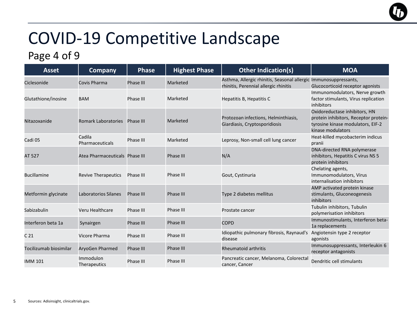#### Page 4 of 9

| <b>Asset</b>           | <b>Company</b>                 | <b>Phase</b>     | <b>Highest Phase</b> | <b>Other Indication(s)</b>                                                                                | <b>MOA</b>                                                                                                                       |
|------------------------|--------------------------------|------------------|----------------------|-----------------------------------------------------------------------------------------------------------|----------------------------------------------------------------------------------------------------------------------------------|
| Ciclesonide            | Covis Pharma                   | Phase III        | Marketed             | Asthma, Allergic rhinitis, Seasonal allergic Immunosuppressants,<br>rhinitis, Perennial allergic rhinitis | Glucocorticoid receptor agonists                                                                                                 |
| Glutathione/inosine    | <b>BAM</b>                     | Phase III        | Marketed             | Hepatitis B, Hepatitis C                                                                                  | Immunomodulators, Nerve growth<br>factor stimulants, Virus replication<br>inhibitors                                             |
| Nitazoxanide           | <b>Romark Laboratories</b>     | Phase III        | Marketed             | Protozoan infections, Helminthiasis,<br>Giardiasis, Cryptosporidiosis                                     | Oxidoreductase inhibitors, HN<br>protein inhibitors, Receptor protein-<br>tyrosine kinase modulators, EIF-2<br>kinase modulators |
| Cadi 05                | Cadila<br>Pharmaceuticals      | Phase III        | Marketed             | Leprosy, Non-small cell lung cancer                                                                       | Heat-killed mycobacterim indicus<br>pranii                                                                                       |
| AT 527                 | Atea Pharmaceuticals Phase III |                  | Phase III            | N/A                                                                                                       | DNA-directed RNA polymerase<br>inhibitors, Hepatitis C virus NS 5<br>protein inhibitors                                          |
| <b>Bucillamine</b>     | <b>Revive Therapeutics</b>     | Phase III        | Phase III            | Gout, Cystinuria                                                                                          | Chelating agents,<br>Immunomodulators, Virus<br>internalisation inhibitors                                                       |
| Metformin glycinate    | Laboratorios Silanes           | <b>Phase III</b> | Phase III            | Type 2 diabetes mellitus                                                                                  | AMP activated protein kinase<br>stimulants, Gluconeogenesis<br>inhibitors                                                        |
| Sabizabulin            | Veru Healthcare                | Phase III        | Phase III            | Prostate cancer                                                                                           | Tubulin inhibitors, Tubulin<br>polymerisation inhibitors                                                                         |
| Interferon beta 1a     | Synairgen                      | Phase III        | Phase III            | <b>COPD</b>                                                                                               | Immunostimulants, Interferon beta-<br>1a replacements                                                                            |
| C <sub>21</sub>        | Vicore Pharma                  | Phase III        | Phase III            | Idiopathic pulmonary fibrosis, Raynaud's<br>disease                                                       | Angiotensin type 2 receptor<br>agonists                                                                                          |
| Tocilizumab biosimilar | <b>AryoGen Pharmed</b>         | Phase III        | Phase III            | <b>Rheumatoid arthritis</b>                                                                               | Immunosuppressants, Interleukin 6<br>receptor antagonists                                                                        |
| <b>IMM 101</b>         | Immodulon<br>Therapeutics      | Phase III        | Phase III            | Pancreatic cancer, Melanoma, Colorectal<br>cancer, Cancer                                                 | Dendritic cell stimulants                                                                                                        |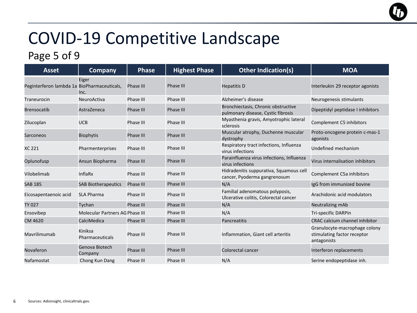#### Page 5 of 9

| <b>Asset</b>                                | <b>Company</b>                  | <b>Phase</b>     | <b>Highest Phase</b> | <b>Other Indication(s)</b>                                                | <b>MOA</b>                                                                  |
|---------------------------------------------|---------------------------------|------------------|----------------------|---------------------------------------------------------------------------|-----------------------------------------------------------------------------|
| Peginterferon lambda 1a BioPharmaceuticals, | Eiger<br>Inc.                   | Phase III        | Phase III            | <b>Hepatitis D</b>                                                        | Interleukin 29 receptor agonists                                            |
| Traneurocin                                 | <b>NeuroActiva</b>              | Phase III        | Phase III            | Alzheimer's disease                                                       | Neurogenesis stimulants                                                     |
| <b>Brensocatib</b>                          | AstraZeneca                     | Phase III        | Phase III            | Bronchiectasis, Chronic obstructive<br>pulmonary disease, Cystic fibrosis | Dipeptidyl peptidase I inhibitors                                           |
| Zilucoplan                                  | <b>UCB</b>                      | Phase III        | Phase III            | Myasthenia gravis, Amyotrophic lateral<br>sclerosis                       | Complement C5 inhibitors                                                    |
| Sarconeos                                   | <b>Biophytis</b>                | <b>Phase III</b> | Phase III            | Muscular atrophy, Duchenne muscular<br>dystrophy                          | Proto-oncogene protein c-mas-1<br>agonists                                  |
| XC 221                                      | Pharmenterprises                | Phase III        | Phase III            | Respiratory tract infections, Influenza<br>virus infections               | Undefined mechanism                                                         |
| Oplunofusp                                  | Ansun Biopharma                 | Phase III        | Phase III            | Parainfluenza virus infections, Influenza<br>virus infections             | Virus internalisation inhibitors                                            |
| Vilobelimab                                 | InflaRx                         | Phase III        | Phase III            | Hidradenitis suppurativa, Squamous cell<br>cancer, Pyoderma gangrenosum   | Complement C5a inhibitors                                                   |
| <b>SAB 185</b>                              | <b>SAB Biotherapeutics</b>      | Phase III        | Phase III            | N/A                                                                       | IgG from immunized bovine                                                   |
| Eicosapentaenoic acid                       | <b>SLA Pharma</b>               | Phase III        | Phase III            | Familial adenomatous polyposis,<br>Ulcerative colitis, Colorectal cancer  | Arachidonic acid modulators                                                 |
| TY 027                                      | Tychan                          | Phase III        | Phase III            | N/A                                                                       | Neutralizing mAb                                                            |
| Ensovibep                                   | Molecular Partners AG Phase III |                  | Phase III            | N/A                                                                       | Tri-specific DARPin                                                         |
| CM 4620                                     | CalciMedica                     | Phase III        | Phase III            | Pancreatitis                                                              | <b>CRAC calcium channel inhibitor</b>                                       |
| Mavrilimumab                                | Kiniksa<br>Pharmaceuticals      | Phase III        | Phase III            | Inflammation, Giant cell arteritis                                        | Granulocyte-macrophage colony<br>stimulating factor receptor<br>antagonists |
| Novaferon                                   | Genova Biotech<br>Company       | Phase III        | Phase III            | Colorectal cancer                                                         | Interferon replacements                                                     |
| Nafamostat                                  | Chong Kun Dang                  | Phase III        | Phase III            | N/A                                                                       | Serine endopeptidase inh.                                                   |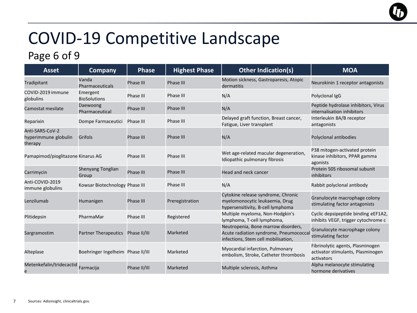#### Page 6 of 9

| <b>Asset</b>                                       | <b>Company</b>                    | <b>Phase</b>     | <b>Highest Phase</b> | <b>Other Indication(s)</b>                                                                                          | <b>MOA</b>                                                                          |
|----------------------------------------------------|-----------------------------------|------------------|----------------------|---------------------------------------------------------------------------------------------------------------------|-------------------------------------------------------------------------------------|
| Tradipitant                                        | Vanda<br><b>Pharmaceuticals</b>   | <b>Phase III</b> | Phase III            | Motion sickness, Gastroparesis, Atopic<br>dermatitis                                                                | Neurokinin 1 receptor antagonists                                                   |
| COVID-2019 immune<br>globulins                     | Emergent<br><b>BioSolutions</b>   | Phase III        | Phase III            | N/A                                                                                                                 | Polyclonal IgG                                                                      |
| Camostat mesilate                                  | Daewoong<br>Pharmaceutical        | <b>Phase III</b> | Phase III            | N/A                                                                                                                 | Peptide hydrolase inhibitors, Virus<br>internalisation inhibitors                   |
| Reparixin                                          | Dompe Farmaceutici                | Phase III        | Phase III            | Delayed graft function, Breast cancer,<br>Fatigue, Liver transplant                                                 | Interleukin 8A/B receptor<br>antagonists                                            |
| Anti-SARS-CoV-2<br>hyperimmune globulin<br>therapy | Grifols                           | <b>Phase III</b> | Phase III            | N/A                                                                                                                 | Polyclonal antibodies                                                               |
| Pamapimod/pioglitazone Kinarus AG                  |                                   | Phase III        | Phase III            | Wet age-related macular degeneration,<br>Idiopathic pulmonary fibrosis                                              | P38 mitogen-activated protein<br>kinase inhibitors, PPAR gamma<br>agonists          |
| Carrimycin                                         | Shenyang Tonglian<br>Group        | <b>Phase III</b> | Phase III            | Head and neck cancer                                                                                                | Protein 50S ribosomal subunit<br>inhibitors                                         |
| Anti-COVID-2019<br>immune globulins                | Kowsar Biotechnology Phase III    |                  | Phase III            | N/A                                                                                                                 | Rabbit polyclonal antibody                                                          |
| Lenzilumab                                         | Humanigen                         | <b>Phase III</b> | Preregistration      | Cytokine release syndrome, Chronic<br>myelomonocytic leukaemia, Drug<br>hypersensitivity, B-cell lymphoma           | Granulocyte macrophage colony<br>stimulating factor antagonists                     |
| Plitidepsin                                        | PharmaMar                         | Phase III        | Registered           | Multiple myeloma, Non-Hodgkin's<br>lymphoma, T-cell lymphoma,                                                       | Cyclic depsipeptide binding eEF1A2,<br>inhibits VEGF, trigger cytochrome c          |
| Sargramostim                                       | <b>Partner Therapeutics</b>       | Phase II/III     | Marketed             | Neutropenia, Bone marrow disorders,<br>Acute radiation syndrome, Pneumococca<br>infections, Stem cell mobilisation, | Granulocyte macrophage colony<br>stimulating factor                                 |
| Alteplase                                          | Boehringer Ingelheim Phase II/III |                  | Marketed             | Myocardial infarction, Pulmonary<br>embolism, Stroke, Catheter thrombosis                                           | Fibrinolytic agents, Plasminogen<br>activator stimulants, Plasminogen<br>activators |
| Metenkefalin/tridecactid                           | Farmacija                         | Phase II/III     | Marketed             | Multiple sclerosis, Asthma                                                                                          | Alpha melanocyte stimulating<br>hormone derivatives                                 |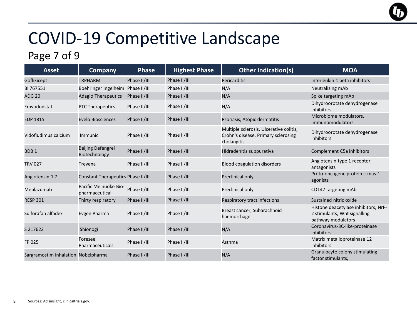### Page 7 of 9

| <b>Asset</b>                        | <b>Company</b>                          | <b>Phase</b> | <b>Highest Phase</b> | <b>Other Indication(s)</b>                                                                    | <b>MOA</b>                                                                                 |
|-------------------------------------|-----------------------------------------|--------------|----------------------|-----------------------------------------------------------------------------------------------|--------------------------------------------------------------------------------------------|
| Goflikicept                         | <b>TRPHARM</b>                          | Phase II/III | Phase II/III         | Pericarditis                                                                                  | Interleukin 1 beta inhibitors                                                              |
| BI 767551                           | Boehringer Ingelheim Phase II/III       |              | Phase II/III         | N/A                                                                                           | Neutralizing mAb                                                                           |
| <b>ADG 20</b>                       | <b>Adagio Therapeutics</b>              | Phase II/III | Phase II/III         | N/A                                                                                           | Spike targeting mAb                                                                        |
| Emvododstat                         | <b>PTC Therapeutics</b>                 | Phase II/III | Phase II/III         | N/A                                                                                           | Dihydroorotate dehydrogenase<br>inhibitors                                                 |
| <b>EDP 1815</b>                     | <b>Evelo Biosciences</b>                | Phase II/III | Phase II/III         | Psoriasis, Atopic dermatitis                                                                  | Microbiome modulators,<br>Immunomodulators                                                 |
| Vidofludimus calcium                | Immunic                                 | Phase II/III | Phase II/III         | Multiple sclerosis, Ulcerative colitis,<br>Crohn's disease, Primary sclerosing<br>cholangitis | Dihydroorotate dehydrogenase<br>inhibitors                                                 |
| BDB <sub>1</sub>                    | Beijing Defengrei<br>Biotechnology      | Phase II/III | Phase II/III         | Hidradenitis suppurativa                                                                      | Complement C5a inhibitors                                                                  |
| <b>TRV 027</b>                      | Trevena                                 | Phase II/III | Phase II/III         | <b>Blood coagulation disorders</b>                                                            | Angiotensin type 1 receptor<br>antagonists                                                 |
| Angiotensin 17                      | Constant Therapeutics Phase II/III      |              | Phase II/III         | Preclinical only                                                                              | Proto-oncogene protein c-mas-1<br>agonists                                                 |
| Meplazumab                          | Pacific Meinuoke Bio-<br>pharmaceutical | Phase II/III | Phase II/III         | Preclinical only                                                                              | CD147 targeting mAb                                                                        |
| <b>RESP 301</b>                     | Thirty respiratory                      | Phase II/III | Phase II/III         | <b>Respiratory tract infections</b>                                                           | Sustained nitric oxide                                                                     |
| Sulforafan alfadex                  | Evgen Pharma                            | Phase II/III | Phase II/III         | Breast cancer, Subarachnoid<br>haemorrhage                                                    | Histone deacetylase inhibitors, NrF-<br>2 stimulants, Wnt signalling<br>pathway modulators |
| S 217622                            | Shionogi                                | Phase II/III | Phase II/III         | N/A                                                                                           | Coronavirus-3C-like-proteinase<br>inhibitors                                               |
| FP 025                              | Foresee<br>Pharmaceuticals              | Phase II/III | Phase II/III         | Asthma                                                                                        | Matrix metalloproteinase 12<br>inhibitors                                                  |
| Sargramostim inhalation Nobelpharma |                                         | Phase II/III | Phase II/III         | N/A                                                                                           | Granulocyte colony stimulating<br>factor stimulants,                                       |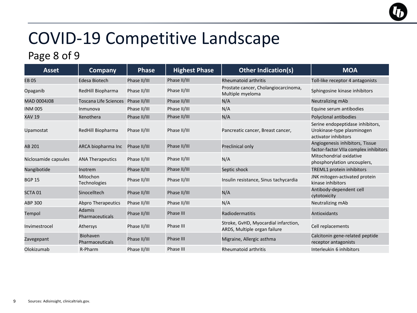#### Page 8 of 9

| <b>Asset</b>         | <b>Company</b>                     | <b>Phase</b> | <b>Highest Phase</b> | <b>Other Indication(s)</b>                                           | <b>MOA</b>                                                                             |
|----------------------|------------------------------------|--------------|----------------------|----------------------------------------------------------------------|----------------------------------------------------------------------------------------|
| <b>EB05</b>          | Edesa Biotech                      | Phase II/III | Phase II/III         | <b>Rheumatoid arthritis</b>                                          | Toll-like receptor 4 antagonists                                                       |
| Opaganib             | RedHill Biopharma                  | Phase II/III | Phase II/III         | Prostate cancer, Cholangiocarcinoma,<br>Multiple myeloma             | Sphingosine kinase inhibitors                                                          |
| MAD 0004J08          | <b>Toscana Life Sciences</b>       | Phase II/III | Phase II/III         | N/A                                                                  | Neutralizing mAb                                                                       |
| <b>INM 005</b>       | Inmunova                           | Phase II/III | Phase II/III         | N/A                                                                  | Equine serum antibodies                                                                |
| <b>XAV 19</b>        | Xenothera                          | Phase II/III | Phase II/III         | N/A                                                                  | Polyclonal antibodies                                                                  |
| Upamostat            | RedHill Biopharma                  | Phase II/III | Phase II/III         | Pancreatic cancer, Breast cancer,                                    | Serine endopeptidase inhibitors,<br>Urokinase-type plasminogen<br>activator inhibitors |
| AB 201               | ARCA biopharma Inc                 | Phase II/III | Phase II/III         | Preclinical only                                                     | Angiogenesis inhibitors, Tissue<br>factor-factor VIIa complex inhibitors               |
| Niclosamide capsules | <b>ANA Therapeutics</b>            | Phase II/III | Phase II/III         | N/A                                                                  | Mitochondrial oxidative<br>phosphorylation uncouplers,                                 |
| Nangibotide          | Inotrem                            | Phase II/III | Phase II/III         | Septic shock                                                         | <b>TREML1 protein inhibitors</b>                                                       |
| <b>BGP 15</b>        | Mitochon<br>Technologies           | Phase II/III | Phase II/III         | Insulin resistance, Sinus tachycardia                                | JNK mitogen-activated protein<br>kinase inhibitors                                     |
| SCTA <sub>01</sub>   | Sinocelltech                       | Phase II/III | Phase II/III         | N/A                                                                  | Antibody-dependent cell<br>cytotoxicity                                                |
| <b>ABP 300</b>       | <b>Abpro Therapeutics</b>          | Phase II/III | Phase II/III         | N/A                                                                  | Neutralizing mAb                                                                       |
| Tempol               | <b>Adamis</b><br>Pharmaceuticals   | Phase II/III | Phase III            | Radiodermatitis                                                      | <b>Antioxidants</b>                                                                    |
| Invimestrocel        | Athersys                           | Phase II/III | Phase III            | Stroke, GvHD, Myocardial infarction,<br>ARDS, Multiple organ failure | Cell replacements                                                                      |
| Zavegepant           | Biohaven<br><b>Pharmaceuticals</b> | Phase II/III | Phase III            | Migraine, Allergic asthma                                            | Calcitonin gene-related peptide<br>receptor antagonists                                |
| Olokizumab           | R-Pharm                            | Phase II/III | Phase III            | <b>Rheumatoid arthritis</b>                                          | Interleukin 6 inhibitors                                                               |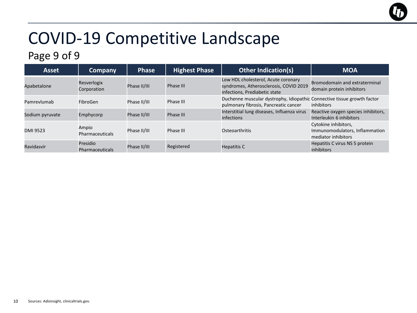#### Page 9 of 9

| <b>Asset</b>    | <b>Company</b>                     | <b>Phase</b> | <b>Highest Phase</b> | <b>Other Indication(s)</b>                                                                                       | <b>MOA</b>                                                                    |
|-----------------|------------------------------------|--------------|----------------------|------------------------------------------------------------------------------------------------------------------|-------------------------------------------------------------------------------|
| Apabetalone     | Resverlogix<br>Corporation         | Phase II/III | Phase III            | Low HDL cholesterol, Acute coronary<br>syndromes, Atherosclerosis, COVID 2019<br>infections, Prediabetic state   | Bromodomain and extraterminal<br>domain protein inhibitors                    |
| Pamrevlumab     | FibroGen                           | Phase II/III | Phase III            | Duchenne muscular dystrophy, Idiopathic Connective tissue growth factor<br>pulmonary fibrosis, Pancreatic cancer | inhibitors                                                                    |
| Sodium pyruvate | Emphycorp                          | Phase II/III | Phase III            | Interstitial lung diseases, Influenza virus<br>infections                                                        | Reactive oxygen species inhibitors,<br>Interleukin 6 inhibitors               |
| DMI 9523        | Ampio<br>Pharmaceuticals           | Phase II/III | Phase III            | Osteoarthritis                                                                                                   | Cytokine inhibitors,<br>Immunomodulators, Inflammation<br>mediator inhibitors |
| Ravidasvir      | Presidio<br><b>Pharmaceuticals</b> | Phase II/III | Registered           | Hepatitis C                                                                                                      | Hepatitis C virus NS 5 protein<br>inhibitors                                  |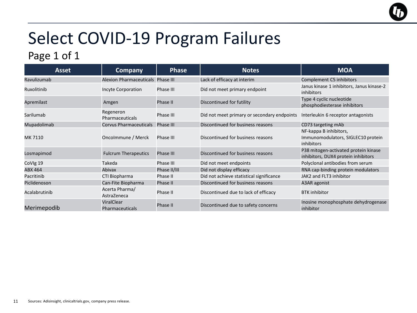## Select COVID-19 Program Failures

#### Page 1 of 1

| <b>Asset</b>  | <b>Company</b>                       | <b>Phase</b> | <b>Notes</b>                                | <b>MOA</b>                                                                  |
|---------------|--------------------------------------|--------------|---------------------------------------------|-----------------------------------------------------------------------------|
| Ravulizumab   | Alexion Pharmaceuticals Phase III    |              | Lack of efficacy at interim                 | Complement C5 inhibitors                                                    |
| Ruxolitinib   | <b>Incyte Corporation</b>            | Phase III    | Did not meet primary endpoint               | Janus kinase 1 inhibitors, Janus kinase-2<br>inhibitors                     |
| Apremilast    | Amgen                                | Phase II     | Discontinued for futility                   | Type 4 cyclic nucleotide<br>phosphodiesterase inhibitors                    |
| Sarilumab     | Regeneron<br><b>Pharmaceuticals</b>  | Phase III    | Did not meet primary or secondary endpoints | Interleukin 6 receptor antagonists                                          |
| Mupadolimab   | <b>Corvus Pharmaceuticals</b>        | Phase III    | Discontinued for business reasons           | CD73 targeting mAb                                                          |
| MK 7110       | Oncolmmune / Merck                   | Phase III    | Discontinued for business reasons           | NF-kappa B inhibitors,<br>Immunomodulators, SIGLEC10 protein<br>inhibitors  |
| Losmapimod    | <b>Fulcrum Therapeutics</b>          | Phase III    | Discontinued for business reasons           | P38 mitogen-activated protein kinase<br>inhibitors, DUX4 protein inhibitors |
| CoVIg 19      | Takeda                               | Phase III    | Did not meet endpoints                      | Polyclonal antibodies from serum                                            |
| ABX 464       | Abivax                               | Phase II/III | Did not display efficacy                    | RNA cap-binding protein modulators                                          |
| Pacritinib    | CTI Biopharma                        | Phase II     | Did not achieve statistical significance    | JAK2 and FLT3 inhibitor                                                     |
| Piclidenoson  | Can-Fite Biopharma                   | Phase II     | Discontinued for business reasons           | A3AR agonist                                                                |
| Acalabrutinib | Acerta Pharma/<br>AstraZeneca        | Phase II     | Discontinued due to lack of efficacy        | <b>BTK</b> inhibitor                                                        |
| Merimepodib   | ViralClear<br><b>Pharmaceuticals</b> | Phase II     | Discontinued due to safety concerns         | Inosine monophosphate dehydrogenase<br>inhibitor                            |